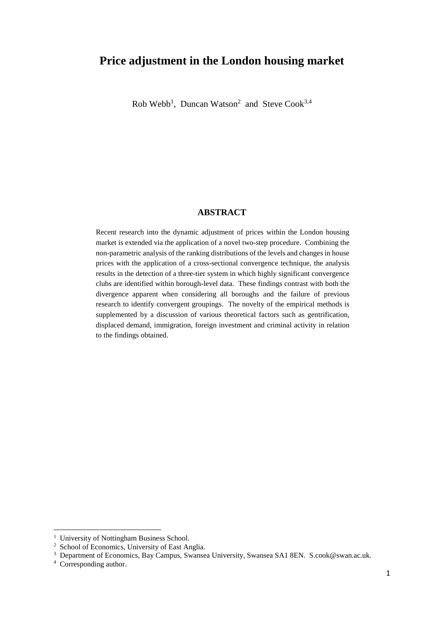# **Price adjustment in the London housing market**

 $Rob$  Webb<sup>1</sup>, Duncan Watson<sup>2</sup> and Steve Cook<sup>3,4</sup>

#### **ABSTRACT**

Recent research into the dynamic adjustment of prices within the London housing market is extended via the application of a novel two-step procedure. Combining the non-parametric analysis of the ranking distributions of the levels and changes in house prices with the application of a cross-sectional convergence technique, the analysis results in the detection of a three-tier system in which highly significant convergence clubs are identified within borough-level data. These findings contrast with both the divergence apparent when considering all boroughs and the failure of previous research to identify convergent groupings. The novelty of the empirical methods is supplemented by a discussion of various theoretical factors such as gentrification, displaced demand, immigration, foreign investment and criminal activity in relation to the findings obtained.

1

<sup>&</sup>lt;sup>1</sup> University of Nottingham Business School.

<sup>&</sup>lt;sup>2</sup> School of Economics, University of East Anglia.

<sup>&</sup>lt;sup>3</sup> Department of Economics, Bay Campus, Swansea University, Swansea SA1 8EN. S.cook@swan.ac.uk.

<sup>&</sup>lt;sup>4</sup> Corresponding author.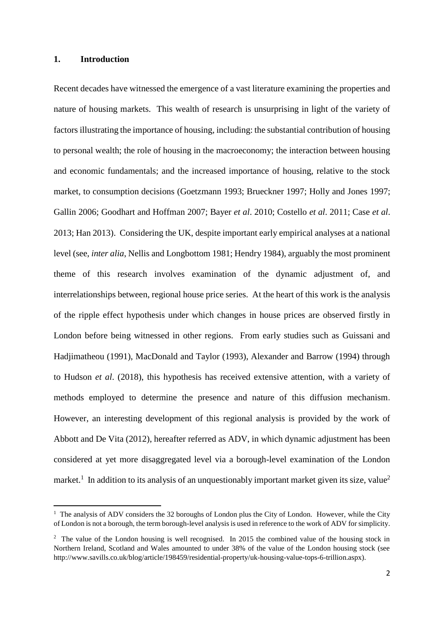#### **1. Introduction**

**.** 

Recent decades have witnessed the emergence of a vast literature examining the properties and nature of housing markets. This wealth of research is unsurprising in light of the variety of factors illustrating the importance of housing, including: the substantial contribution of housing to personal wealth; the role of housing in the macroeconomy; the interaction between housing and economic fundamentals; and the increased importance of housing, relative to the stock market, to consumption decisions (Goetzmann 1993; Brueckner 1997; Holly and Jones 1997; Gallin 2006; Goodhart and Hoffman 2007; Bayer *et al*. 2010; Costello *et al*. 2011; Case *et al*. 2013; Han 2013). Considering the UK, despite important early empirical analyses at a national level (see, *inter alia*, Nellis and Longbottom 1981; Hendry 1984), arguably the most prominent theme of this research involves examination of the dynamic adjustment of, and interrelationships between, regional house price series. At the heart of this work is the analysis of the ripple effect hypothesis under which changes in house prices are observed firstly in London before being witnessed in other regions. From early studies such as Guissani and Hadjimatheou (1991), MacDonald and Taylor (1993), Alexander and Barrow (1994) through to Hudson *et al*. (2018), this hypothesis has received extensive attention, with a variety of methods employed to determine the presence and nature of this diffusion mechanism. However, an interesting development of this regional analysis is provided by the work of Abbott and De Vita (2012), hereafter referred as ADV, in which dynamic adjustment has been considered at yet more disaggregated level via a borough-level examination of the London market.<sup>1</sup> In addition to its analysis of an unquestionably important market given its size, value<sup>2</sup>

<sup>&</sup>lt;sup>1</sup> The analysis of ADV considers the 32 boroughs of London plus the City of London. However, while the City of London is not a borough, the term borough-level analysis is used in reference to the work of ADV for simplicity.

<sup>&</sup>lt;sup>2</sup> The value of the London housing is well recognised. In 2015 the combined value of the housing stock in Northern Ireland, Scotland and Wales amounted to under 38% of the value of the London housing stock (see http://www.savills.co.uk/blog/article/198459/residential-property/uk-housing-value-tops-6-trillion.aspx).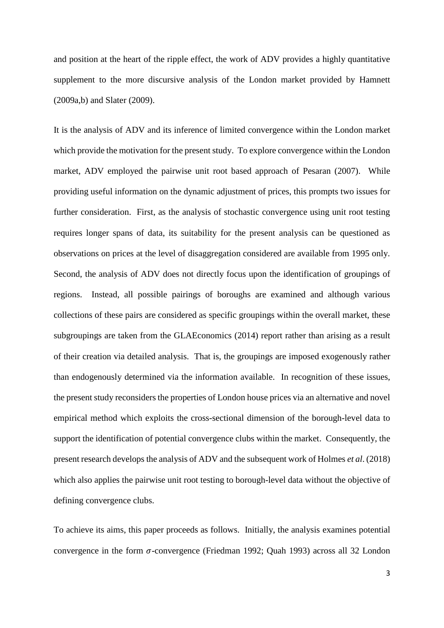and position at the heart of the ripple effect, the work of ADV provides a highly quantitative supplement to the more discursive analysis of the London market provided by Hamnett (2009a,b) and Slater (2009).

It is the analysis of ADV and its inference of limited convergence within the London market which provide the motivation for the present study. To explore convergence within the London market, ADV employed the pairwise unit root based approach of Pesaran (2007). While providing useful information on the dynamic adjustment of prices, this prompts two issues for further consideration. First, as the analysis of stochastic convergence using unit root testing requires longer spans of data, its suitability for the present analysis can be questioned as observations on prices at the level of disaggregation considered are available from 1995 only. Second, the analysis of ADV does not directly focus upon the identification of groupings of regions. Instead, all possible pairings of boroughs are examined and although various collections of these pairs are considered as specific groupings within the overall market, these subgroupings are taken from the GLAEconomics (2014) report rather than arising as a result of their creation via detailed analysis. That is, the groupings are imposed exogenously rather than endogenously determined via the information available. In recognition of these issues, the present study reconsiders the properties of London house prices via an alternative and novel empirical method which exploits the cross-sectional dimension of the borough-level data to support the identification of potential convergence clubs within the market. Consequently, the present research develops the analysis of ADV and the subsequent work of Holmes *et al*. (2018) which also applies the pairwise unit root testing to borough-level data without the objective of defining convergence clubs.

To achieve its aims, this paper proceeds as follows. Initially, the analysis examines potential convergence in the form  $\sigma$ -convergence (Friedman 1992; Quah 1993) across all 32 London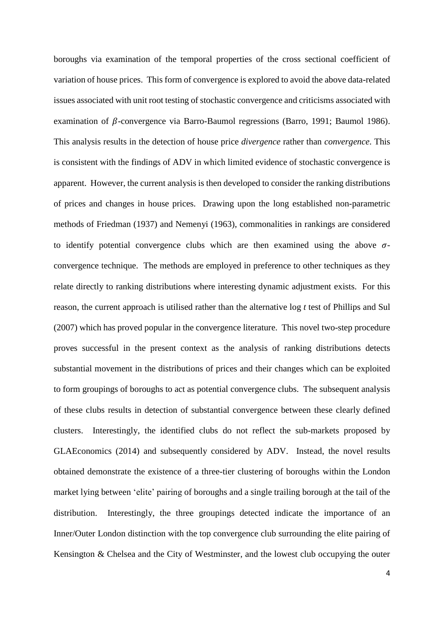boroughs via examination of the temporal properties of the cross sectional coefficient of variation of house prices. This form of convergence is explored to avoid the above data-related issues associated with unit root testing of stochastic convergence and criticisms associated with examination of  $\beta$ -convergence via Barro-Baumol regressions (Barro, 1991; Baumol 1986). This analysis results in the detection of house price *divergence* rather than *convergence*. This is consistent with the findings of ADV in which limited evidence of stochastic convergence is apparent. However, the current analysis is then developed to consider the ranking distributions of prices and changes in house prices. Drawing upon the long established non-parametric methods of Friedman (1937) and Nemenyi (1963), commonalities in rankings are considered to identify potential convergence clubs which are then examined using the above  $\sigma$ convergence technique. The methods are employed in preference to other techniques as they relate directly to ranking distributions where interesting dynamic adjustment exists. For this reason, the current approach is utilised rather than the alternative log *t* test of Phillips and Sul (2007) which has proved popular in the convergence literature. This novel two-step procedure proves successful in the present context as the analysis of ranking distributions detects substantial movement in the distributions of prices and their changes which can be exploited to form groupings of boroughs to act as potential convergence clubs. The subsequent analysis of these clubs results in detection of substantial convergence between these clearly defined clusters. Interestingly, the identified clubs do not reflect the sub-markets proposed by GLAEconomics (2014) and subsequently considered by ADV. Instead, the novel results obtained demonstrate the existence of a three-tier clustering of boroughs within the London market lying between 'elite' pairing of boroughs and a single trailing borough at the tail of the distribution. Interestingly, the three groupings detected indicate the importance of an Inner/Outer London distinction with the top convergence club surrounding the elite pairing of Kensington & Chelsea and the City of Westminster, and the lowest club occupying the outer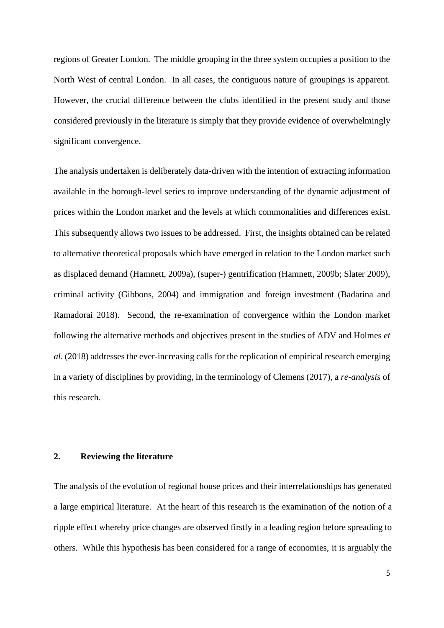regions of Greater London. The middle grouping in the three system occupies a position to the North West of central London. In all cases, the contiguous nature of groupings is apparent. However, the crucial difference between the clubs identified in the present study and those considered previously in the literature is simply that they provide evidence of overwhelmingly significant convergence.

The analysis undertaken is deliberately data-driven with the intention of extracting information available in the borough-level series to improve understanding of the dynamic adjustment of prices within the London market and the levels at which commonalities and differences exist. This subsequently allows two issues to be addressed. First, the insights obtained can be related to alternative theoretical proposals which have emerged in relation to the London market such as displaced demand (Hamnett, 2009a), (super-) gentrification (Hamnett, 2009b; Slater 2009), criminal activity (Gibbons, 2004) and immigration and foreign investment (Badarina and Ramadorai 2018). Second, the re-examination of convergence within the London market following the alternative methods and objectives present in the studies of ADV and Holmes *et al*. (2018) addresses the ever-increasing calls for the replication of empirical research emerging in a variety of disciplines by providing, in the terminology of Clemens (2017), a *re-analysis* of this research.

### **2. Reviewing the literature**

The analysis of the evolution of regional house prices and their interrelationships has generated a large empirical literature. At the heart of this research is the examination of the notion of a ripple effect whereby price changes are observed firstly in a leading region before spreading to others. While this hypothesis has been considered for a range of economies, it is arguably the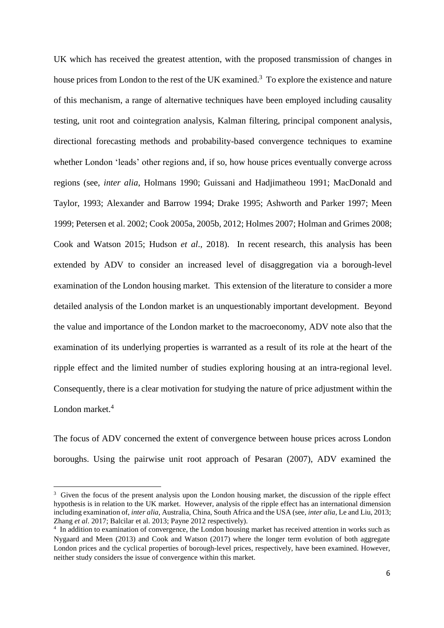UK which has received the greatest attention, with the proposed transmission of changes in house prices from London to the rest of the UK examined.<sup>3</sup> To explore the existence and nature of this mechanism, a range of alternative techniques have been employed including causality testing, unit root and cointegration analysis, Kalman filtering, principal component analysis, directional forecasting methods and probability-based convergence techniques to examine whether London 'leads' other regions and, if so, how house prices eventually converge across regions (see, *inter alia*, Holmans 1990; Guissani and Hadjimatheou 1991; MacDonald and Taylor, 1993; Alexander and Barrow 1994; Drake 1995; Ashworth and Parker 1997; Meen 1999; Petersen et al. 2002; Cook 2005a, 2005b, 2012; Holmes 2007; Holman and Grimes 2008; Cook and Watson 2015; Hudson *et al*., 2018). In recent research, this analysis has been extended by ADV to consider an increased level of disaggregation via a borough-level examination of the London housing market. This extension of the literature to consider a more detailed analysis of the London market is an unquestionably important development. Beyond the value and importance of the London market to the macroeconomy, ADV note also that the examination of its underlying properties is warranted as a result of its role at the heart of the ripple effect and the limited number of studies exploring housing at an intra-regional level. Consequently, there is a clear motivation for studying the nature of price adjustment within the London market.<sup>4</sup>

The focus of ADV concerned the extent of convergence between house prices across London boroughs. Using the pairwise unit root approach of Pesaran (2007), ADV examined the

**.** 

<sup>&</sup>lt;sup>3</sup> Given the focus of the present analysis upon the London housing market, the discussion of the ripple effect hypothesis is in relation to the UK market. However, analysis of the ripple effect has an international dimension including examination of, *inter alia*, Australia, China, South Africa and the USA (see, *inter alia*, Le and Liu, 2013; Zhang *et al*. 2017; Balcilar et al. 2013; Payne 2012 respectively).

<sup>&</sup>lt;sup>4</sup> In addition to examination of convergence, the London housing market has received attention in works such as Nygaard and Meen (2013) and Cook and Watson (2017) where the longer term evolution of both aggregate London prices and the cyclical properties of borough-level prices, respectively, have been examined. However, neither study considers the issue of convergence within this market.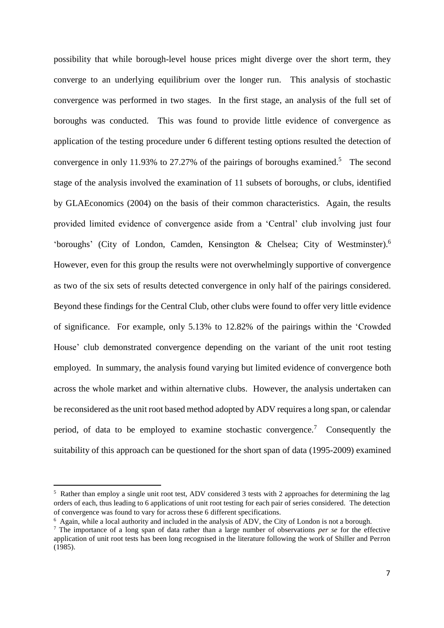possibility that while borough-level house prices might diverge over the short term, they converge to an underlying equilibrium over the longer run. This analysis of stochastic convergence was performed in two stages. In the first stage, an analysis of the full set of boroughs was conducted. This was found to provide little evidence of convergence as application of the testing procedure under 6 different testing options resulted the detection of convergence in only 11.93% to 27.27% of the pairings of boroughs examined.<sup>5</sup> The second stage of the analysis involved the examination of 11 subsets of boroughs, or clubs, identified by GLAEconomics (2004) on the basis of their common characteristics. Again, the results provided limited evidence of convergence aside from a 'Central' club involving just four 'boroughs' (City of London, Camden, Kensington & Chelsea; City of Westminster).<sup>6</sup> However, even for this group the results were not overwhelmingly supportive of convergence as two of the six sets of results detected convergence in only half of the pairings considered. Beyond these findings for the Central Club, other clubs were found to offer very little evidence of significance. For example, only 5.13% to 12.82% of the pairings within the 'Crowded House' club demonstrated convergence depending on the variant of the unit root testing employed. In summary, the analysis found varying but limited evidence of convergence both across the whole market and within alternative clubs. However, the analysis undertaken can be reconsidered as the unit root based method adopted by ADV requires a long span, or calendar period, of data to be employed to examine stochastic convergence.<sup>7</sup> Consequently the suitability of this approach can be questioned for the short span of data (1995-2009) examined

1

<sup>&</sup>lt;sup>5</sup> Rather than employ a single unit root test, ADV considered 3 tests with 2 approaches for determining the lag orders of each, thus leading to 6 applications of unit root testing for each pair of series considered. The detection of convergence was found to vary for across these 6 different specifications.

<sup>&</sup>lt;sup>6</sup> Again, while a local authority and included in the analysis of ADV, the City of London is not a borough.

<sup>7</sup> The importance of a long span of data rather than a large number of observations *per se* for the effective application of unit root tests has been long recognised in the literature following the work of Shiller and Perron (1985).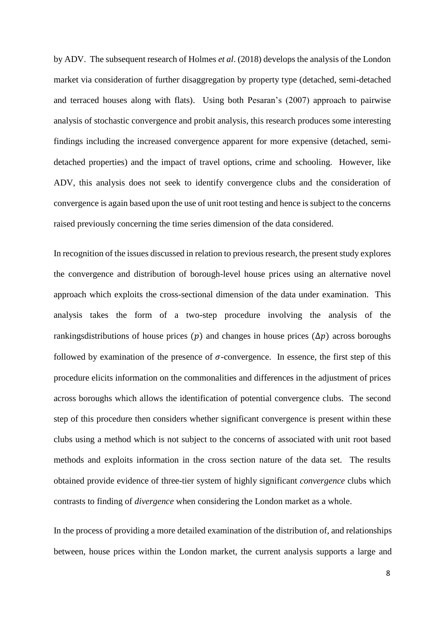by ADV. The subsequent research of Holmes *et al*. (2018) develops the analysis of the London market via consideration of further disaggregation by property type (detached, semi-detached and terraced houses along with flats). Using both Pesaran's (2007) approach to pairwise analysis of stochastic convergence and probit analysis, this research produces some interesting findings including the increased convergence apparent for more expensive (detached, semidetached properties) and the impact of travel options, crime and schooling. However, like ADV, this analysis does not seek to identify convergence clubs and the consideration of convergence is again based upon the use of unit root testing and hence is subject to the concerns raised previously concerning the time series dimension of the data considered.

In recognition of the issues discussed in relation to previous research, the present study explores the convergence and distribution of borough-level house prices using an alternative novel approach which exploits the cross-sectional dimension of the data under examination. This analysis takes the form of a two-step procedure involving the analysis of the rankingsdistributions of house prices ( $p$ ) and changes in house prices ( $\Delta p$ ) across boroughs followed by examination of the presence of  $\sigma$ -convergence. In essence, the first step of this procedure elicits information on the commonalities and differences in the adjustment of prices across boroughs which allows the identification of potential convergence clubs. The second step of this procedure then considers whether significant convergence is present within these clubs using a method which is not subject to the concerns of associated with unit root based methods and exploits information in the cross section nature of the data set. The results obtained provide evidence of three-tier system of highly significant *convergence* clubs which contrasts to finding of *divergence* when considering the London market as a whole.

In the process of providing a more detailed examination of the distribution of, and relationships between, house prices within the London market, the current analysis supports a large and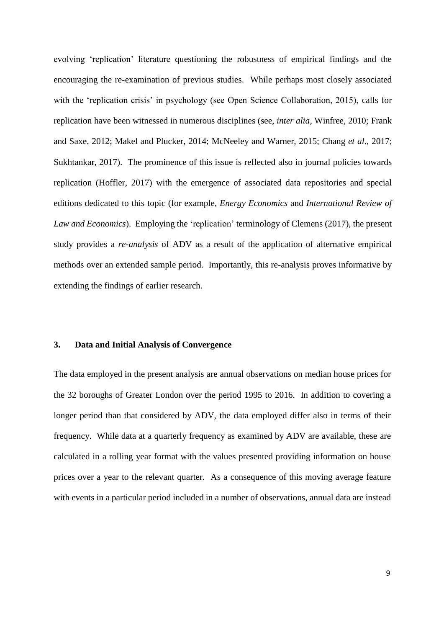evolving 'replication' literature questioning the robustness of empirical findings and the encouraging the re-examination of previous studies. While perhaps most closely associated with the 'replication crisis' in psychology (see Open Science Collaboration, 2015), calls for replication have been witnessed in numerous disciplines (see, *inter alia*, Winfree, 2010; Frank and Saxe, 2012; Makel and Plucker, 2014; McNeeley and Warner, 2015; Chang *et al*., 2017; Sukhtankar, 2017). The prominence of this issue is reflected also in journal policies towards replication (Hoffler, 2017) with the emergence of associated data repositories and special editions dedicated to this topic (for example, *Energy Economics* and *International Review of Law and Economics*). Employing the 'replication' terminology of Clemens (2017), the present study provides a *re-analysis* of ADV as a result of the application of alternative empirical methods over an extended sample period. Importantly, this re-analysis proves informative by extending the findings of earlier research.

#### **3. Data and Initial Analysis of Convergence**

The data employed in the present analysis are annual observations on median house prices for the 32 boroughs of Greater London over the period 1995 to 2016. In addition to covering a longer period than that considered by ADV, the data employed differ also in terms of their frequency. While data at a quarterly frequency as examined by ADV are available, these are calculated in a rolling year format with the values presented providing information on house prices over a year to the relevant quarter. As a consequence of this moving average feature with events in a particular period included in a number of observations, annual data are instead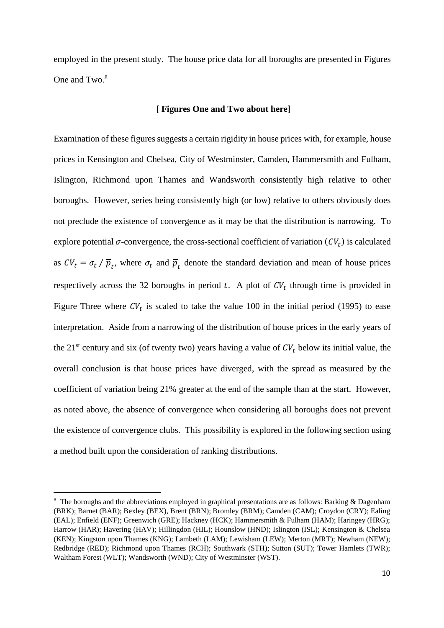employed in the present study. The house price data for all boroughs are presented in Figures One and Two.<sup>8</sup>

#### **[ Figures One and Two about here]**

Examination of these figures suggests a certain rigidity in house prices with, for example, house prices in Kensington and Chelsea, City of Westminster, Camden, Hammersmith and Fulham, Islington, Richmond upon Thames and Wandsworth consistently high relative to other boroughs. However, series being consistently high (or low) relative to others obviously does not preclude the existence of convergence as it may be that the distribution is narrowing. To explore potential  $\sigma$ -convergence, the cross-sectional coefficient of variation  $(CV_t)$  is calculated as  $CV_t = \sigma_t / \overline{p}_t$ , where  $\sigma_t$  and  $\overline{p}_t$  denote the standard deviation and mean of house prices respectively across the 32 boroughs in period t. A plot of  $CV_t$  through time is provided in Figure Three where  $CV_t$  is scaled to take the value 100 in the initial period (1995) to ease interpretation. Aside from a narrowing of the distribution of house prices in the early years of the 21<sup>st</sup> century and six (of twenty two) years having a value of  $CV_t$  below its initial value, the overall conclusion is that house prices have diverged, with the spread as measured by the coefficient of variation being 21% greater at the end of the sample than at the start. However, as noted above, the absence of convergence when considering all boroughs does not prevent the existence of convergence clubs. This possibility is explored in the following section using a method built upon the consideration of ranking distributions.

**.** 

<sup>&</sup>lt;sup>8</sup> The boroughs and the abbreviations employed in graphical presentations are as follows: Barking & Dagenham (BRK); Barnet (BAR); Bexley (BEX), Brent (BRN); Bromley (BRM); Camden (CAM); Croydon (CRY); Ealing (EAL); Enfield (ENF); Greenwich (GRE); Hackney (HCK); Hammersmith & Fulham (HAM); Haringey (HRG); Harrow (HAR); Havering (HAV); Hillingdon (HIL); Hounslow (HND); Islington (ISL); Kensington & Chelsea (KEN); Kingston upon Thames (KNG); Lambeth (LAM); Lewisham (LEW); Merton (MRT); Newham (NEW); Redbridge (RED); Richmond upon Thames (RCH); Southwark (STH); Sutton (SUT); Tower Hamlets (TWR); Waltham Forest (WLT); Wandsworth (WND); City of Westminster (WST).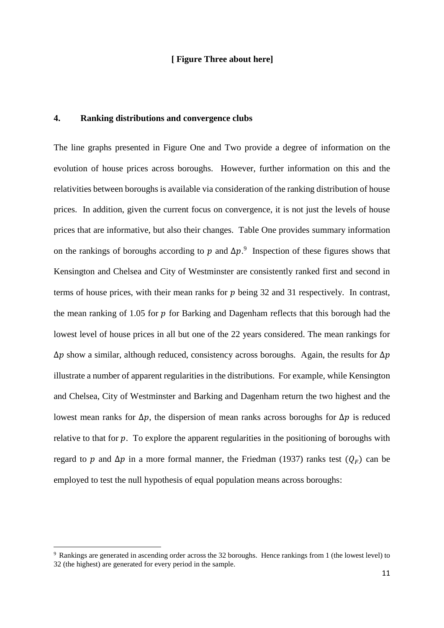#### **[ Figure Three about here]**

# **4. Ranking distributions and convergence clubs**

The line graphs presented in Figure One and Two provide a degree of information on the evolution of house prices across boroughs. However, further information on this and the relativities between boroughs is available via consideration of the ranking distribution of house prices. In addition, given the current focus on convergence, it is not just the levels of house prices that are informative, but also their changes. Table One provides summary information on the rankings of boroughs according to p and  $\Delta p$ .<sup>9</sup> Inspection of these figures shows that Kensington and Chelsea and City of Westminster are consistently ranked first and second in terms of house prices, with their mean ranks for  $p$  being 32 and 31 respectively. In contrast, the mean ranking of 1.05 for  $p$  for Barking and Dagenham reflects that this borough had the lowest level of house prices in all but one of the 22 years considered. The mean rankings for  $\Delta p$  show a similar, although reduced, consistency across boroughs. Again, the results for  $\Delta p$ illustrate a number of apparent regularities in the distributions. For example, while Kensington and Chelsea, City of Westminster and Barking and Dagenham return the two highest and the lowest mean ranks for  $Δp$ , the dispersion of mean ranks across boroughs for  $Δp$  is reduced relative to that for  $p$ . To explore the apparent regularities in the positioning of boroughs with regard to p and  $\Delta p$  in a more formal manner, the Friedman (1937) ranks test  $(Q_F)$  can be employed to test the null hypothesis of equal population means across boroughs:

**.** 

<sup>9</sup> Rankings are generated in ascending order across the 32 boroughs. Hence rankings from 1 (the lowest level) to 32 (the highest) are generated for every period in the sample.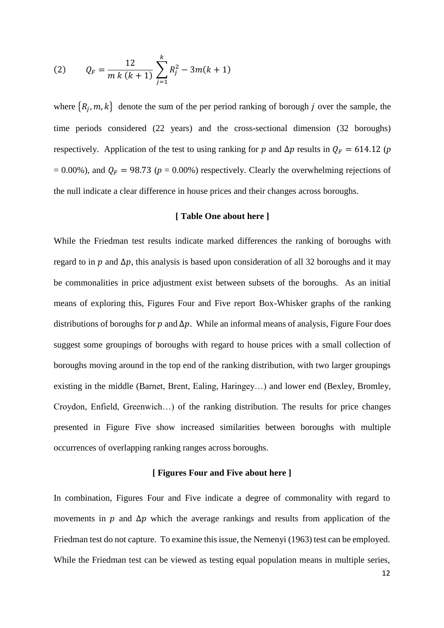(2) 
$$
Q_F = \frac{12}{m k (k+1)} \sum_{j=1}^{k} R_j^2 - 3m(k+1)
$$

where  $\{R_j, m, k\}$  denote the sum of the per period ranking of borough j over the sample, the time periods considered (22 years) and the cross-sectional dimension (32 boroughs) respectively. Application of the test to using ranking for p and  $\Delta p$  results in  $Q_F = 614.12$  (p  $= 0.00\%$ ), and  $Q_F = 98.73$  ( $p = 0.00\%$ ) respectively. Clearly the overwhelming rejections of the null indicate a clear difference in house prices and their changes across boroughs.

## **[ Table One about here ]**

While the Friedman test results indicate marked differences the ranking of boroughs with regard to in  $p$  and  $\Delta p$ , this analysis is based upon consideration of all 32 boroughs and it may be commonalities in price adjustment exist between subsets of the boroughs. As an initial means of exploring this, Figures Four and Five report Box-Whisker graphs of the ranking distributions of boroughs for  $p$  and  $\Delta p$ . While an informal means of analysis, Figure Four does suggest some groupings of boroughs with regard to house prices with a small collection of boroughs moving around in the top end of the ranking distribution, with two larger groupings existing in the middle (Barnet, Brent, Ealing, Haringey…) and lower end (Bexley, Bromley, Croydon, Enfield, Greenwich…) of the ranking distribution. The results for price changes presented in Figure Five show increased similarities between boroughs with multiple occurrences of overlapping ranking ranges across boroughs.

#### **[ Figures Four and Five about here ]**

In combination, Figures Four and Five indicate a degree of commonality with regard to movements in p and  $\Delta p$  which the average rankings and results from application of the Friedman test do not capture. To examine this issue, the Nemenyi (1963) test can be employed. While the Friedman test can be viewed as testing equal population means in multiple series,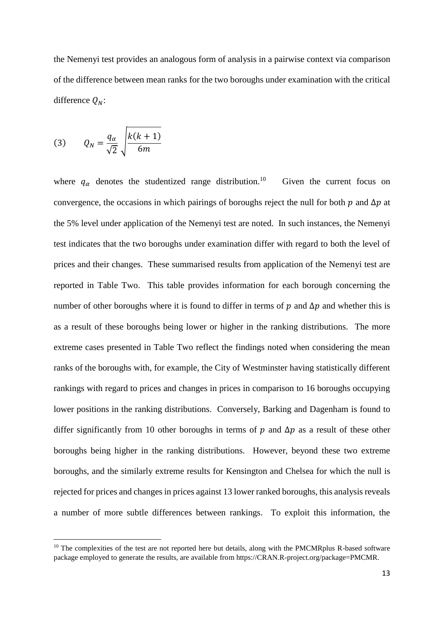the Nemenyi test provides an analogous form of analysis in a pairwise context via comparison of the difference between mean ranks for the two boroughs under examination with the critical difference  $Q_N$ :

$$
(3) \qquad Q_N = \frac{q_\alpha}{\sqrt{2}} \sqrt{\frac{k(k+1)}{6m}}
$$

**.** 

where  $q_{\alpha}$  denotes the studentized range distribution.<sup>10</sup> Given the current focus on convergence, the occasions in which pairings of boroughs reject the null for both  $p$  and  $\Delta p$  at the 5% level under application of the Nemenyi test are noted. In such instances, the Nemenyi test indicates that the two boroughs under examination differ with regard to both the level of prices and their changes. These summarised results from application of the Nemenyi test are reported in Table Two. This table provides information for each borough concerning the number of other boroughs where it is found to differ in terms of  $p$  and  $\Delta p$  and whether this is as a result of these boroughs being lower or higher in the ranking distributions. The more extreme cases presented in Table Two reflect the findings noted when considering the mean ranks of the boroughs with, for example, the City of Westminster having statistically different rankings with regard to prices and changes in prices in comparison to 16 boroughs occupying lower positions in the ranking distributions. Conversely, Barking and Dagenham is found to differ significantly from 10 other boroughs in terms of  $p$  and  $\Delta p$  as a result of these other boroughs being higher in the ranking distributions. However, beyond these two extreme boroughs, and the similarly extreme results for Kensington and Chelsea for which the null is rejected for prices and changes in prices against 13 lower ranked boroughs, this analysis reveals a number of more subtle differences between rankings. To exploit this information, the

<sup>&</sup>lt;sup>10</sup> The complexities of the test are not reported here but details, along with the PMCMRplus R-based software package employed to generate the results, are available from https://CRAN.R-project.org/package=PMCMR.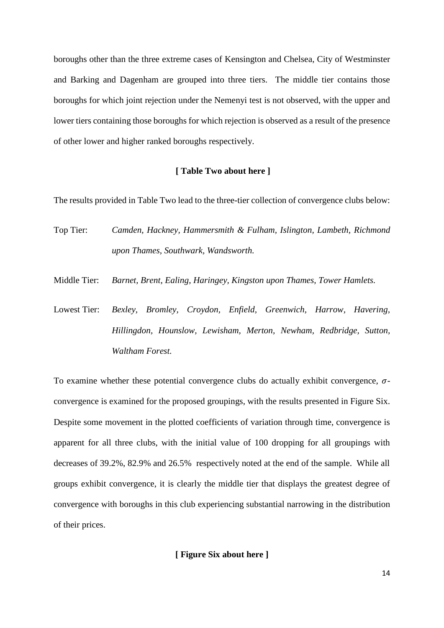boroughs other than the three extreme cases of Kensington and Chelsea, City of Westminster and Barking and Dagenham are grouped into three tiers. The middle tier contains those boroughs for which joint rejection under the Nemenyi test is not observed, with the upper and lower tiers containing those boroughs for which rejection is observed as a result of the presence of other lower and higher ranked boroughs respectively.

#### **[ Table Two about here ]**

The results provided in Table Two lead to the three-tier collection of convergence clubs below:

- Top Tier: *Camden, Hackney, Hammersmith & Fulham, Islington, Lambeth, Richmond upon Thames, Southwark, Wandsworth.*
- Middle Tier: *Barnet, Brent, Ealing, Haringey, Kingston upon Thames, Tower Hamlets.*
- Lowest Tier: *Bexley, Bromley, Croydon, Enfield, Greenwich, Harrow, Havering, Hillingdon, Hounslow, Lewisham, Merton, Newham, Redbridge, Sutton, Waltham Forest.*

To examine whether these potential convergence clubs do actually exhibit convergence,  $\sigma$ convergence is examined for the proposed groupings, with the results presented in Figure Six. Despite some movement in the plotted coefficients of variation through time, convergence is apparent for all three clubs, with the initial value of 100 dropping for all groupings with decreases of 39.2%, 82.9% and 26.5% respectively noted at the end of the sample. While all groups exhibit convergence, it is clearly the middle tier that displays the greatest degree of convergence with boroughs in this club experiencing substantial narrowing in the distribution of their prices.

**[ Figure Six about here ]**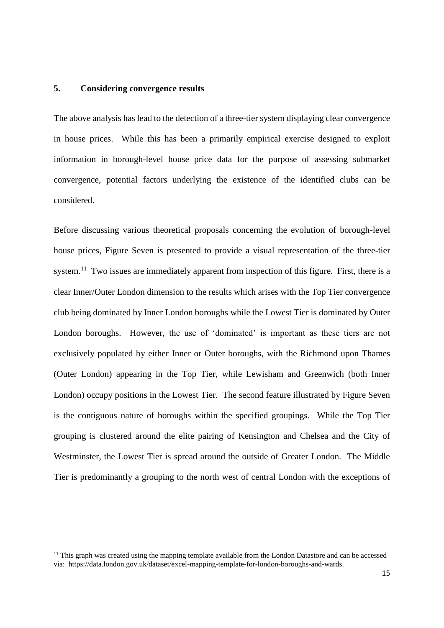### **5. Considering convergence results**

**.** 

The above analysis has lead to the detection of a three-tier system displaying clear convergence in house prices. While this has been a primarily empirical exercise designed to exploit information in borough-level house price data for the purpose of assessing submarket convergence, potential factors underlying the existence of the identified clubs can be considered.

Before discussing various theoretical proposals concerning the evolution of borough-level house prices, Figure Seven is presented to provide a visual representation of the three-tier system.<sup>11</sup> Two issues are immediately apparent from inspection of this figure. First, there is a clear Inner/Outer London dimension to the results which arises with the Top Tier convergence club being dominated by Inner London boroughs while the Lowest Tier is dominated by Outer London boroughs. However, the use of 'dominated' is important as these tiers are not exclusively populated by either Inner or Outer boroughs, with the Richmond upon Thames (Outer London) appearing in the Top Tier, while Lewisham and Greenwich (both Inner London) occupy positions in the Lowest Tier. The second feature illustrated by Figure Seven is the contiguous nature of boroughs within the specified groupings. While the Top Tier grouping is clustered around the elite pairing of Kensington and Chelsea and the City of Westminster, the Lowest Tier is spread around the outside of Greater London. The Middle Tier is predominantly a grouping to the north west of central London with the exceptions of

<sup>&</sup>lt;sup>11</sup> This graph was created using the mapping template available from the London Datastore and can be accessed via: https://data.london.gov.uk/dataset/excel-mapping-template-for-london-boroughs-and-wards.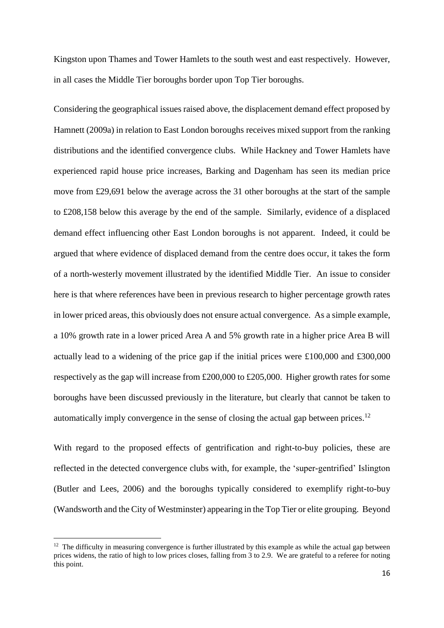Kingston upon Thames and Tower Hamlets to the south west and east respectively. However, in all cases the Middle Tier boroughs border upon Top Tier boroughs.

Considering the geographical issues raised above, the displacement demand effect proposed by Hamnett (2009a) in relation to East London boroughs receives mixed support from the ranking distributions and the identified convergence clubs. While Hackney and Tower Hamlets have experienced rapid house price increases, Barking and Dagenham has seen its median price move from £29,691 below the average across the 31 other boroughs at the start of the sample to £208,158 below this average by the end of the sample. Similarly, evidence of a displaced demand effect influencing other East London boroughs is not apparent. Indeed, it could be argued that where evidence of displaced demand from the centre does occur, it takes the form of a north-westerly movement illustrated by the identified Middle Tier. An issue to consider here is that where references have been in previous research to higher percentage growth rates in lower priced areas, this obviously does not ensure actual convergence. As a simple example, a 10% growth rate in a lower priced Area A and 5% growth rate in a higher price Area B will actually lead to a widening of the price gap if the initial prices were £100,000 and £300,000 respectively as the gap will increase from £200,000 to £205,000. Higher growth rates for some boroughs have been discussed previously in the literature, but clearly that cannot be taken to automatically imply convergence in the sense of closing the actual gap between prices. 12

With regard to the proposed effects of gentrification and right-to-buy policies, these are reflected in the detected convergence clubs with, for example, the 'super-gentrified' Islington (Butler and Lees, 2006) and the boroughs typically considered to exemplify right-to-buy (Wandsworth and the City of Westminster) appearing in the Top Tier or elite grouping. Beyond

**.** 

 $12$  The difficulty in measuring convergence is further illustrated by this example as while the actual gap between prices widens, the ratio of high to low prices closes, falling from 3 to 2.9. We are grateful to a referee for noting this point.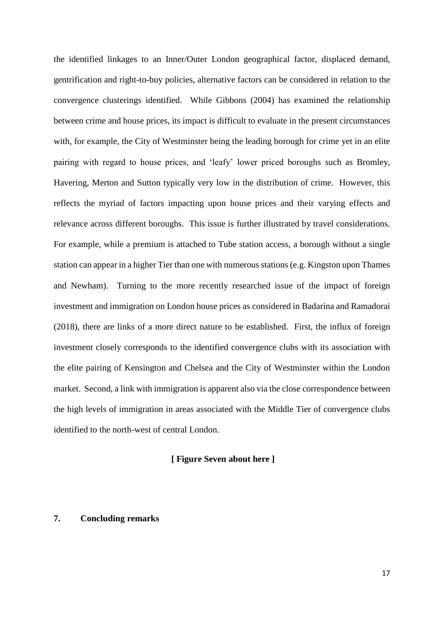the identified linkages to an Inner/Outer London geographical factor, displaced demand, gentrification and right-to-buy policies, alternative factors can be considered in relation to the convergence clusterings identified. While Gibbons (2004) has examined the relationship between crime and house prices, its impact is difficult to evaluate in the present circumstances with, for example, the City of Westminster being the leading borough for crime yet in an elite pairing with regard to house prices, and 'leafy' lower priced boroughs such as Bromley, Havering, Merton and Sutton typically very low in the distribution of crime. However, this reflects the myriad of factors impacting upon house prices and their varying effects and relevance across different boroughs. This issue is further illustrated by travel considerations. For example, while a premium is attached to Tube station access, a borough without a single station can appear in a higher Tier than one with numerous stations (e.g. Kingston upon Thames and Newham). Turning to the more recently researched issue of the impact of foreign investment and immigration on London house prices as considered in Badarina and Ramadorai (2018), there are links of a more direct nature to be established. First, the influx of foreign investment closely corresponds to the identified convergence clubs with its association with the elite pairing of Kensington and Chelsea and the City of Westminster within the London market. Second, a link with immigration is apparent also via the close correspondence between the high levels of immigration in areas associated with the Middle Tier of convergence clubs identified to the north-west of central London.

## **[ Figure Seven about here ]**

# **7. Concluding remarks**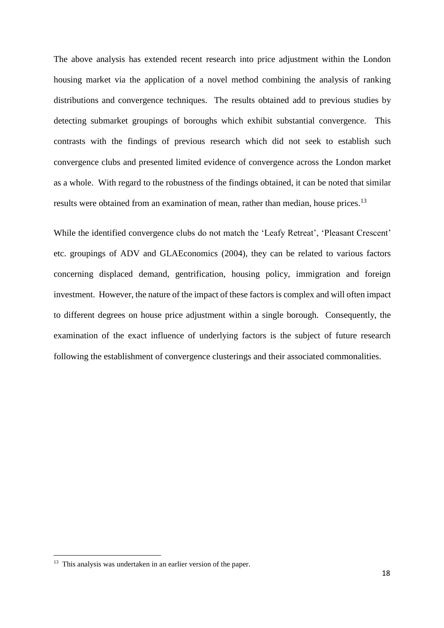The above analysis has extended recent research into price adjustment within the London housing market via the application of a novel method combining the analysis of ranking distributions and convergence techniques. The results obtained add to previous studies by detecting submarket groupings of boroughs which exhibit substantial convergence. This contrasts with the findings of previous research which did not seek to establish such convergence clubs and presented limited evidence of convergence across the London market as a whole. With regard to the robustness of the findings obtained, it can be noted that similar results were obtained from an examination of mean, rather than median, house prices.<sup>13</sup>

While the identified convergence clubs do not match the 'Leafy Retreat', 'Pleasant Crescent' etc. groupings of ADV and GLAEconomics (2004), they can be related to various factors concerning displaced demand, gentrification, housing policy, immigration and foreign investment. However, the nature of the impact of these factors is complex and will often impact to different degrees on house price adjustment within a single borough. Consequently, the examination of the exact influence of underlying factors is the subject of future research following the establishment of convergence clusterings and their associated commonalities.

 $\overline{a}$ 

<sup>&</sup>lt;sup>13</sup> This analysis was undertaken in an earlier version of the paper.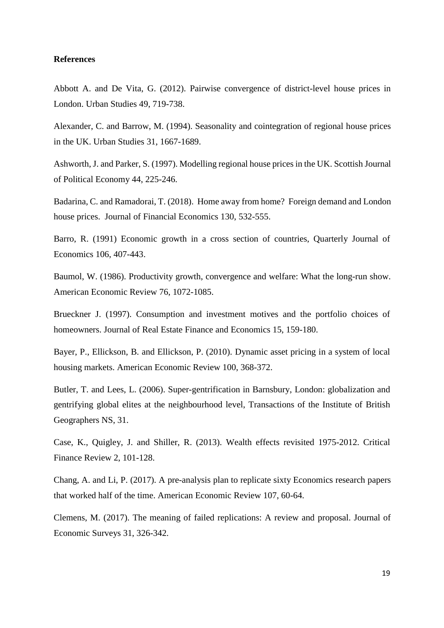#### **References**

Abbott A. and De Vita, G. (2012). Pairwise convergence of district-level house prices in London. Urban Studies 49, 719-738.

Alexander, C. and Barrow, M. (1994). Seasonality and cointegration of regional house prices in the UK. Urban Studies 31, 1667-1689.

Ashworth, J. and Parker, S. (1997). Modelling regional house prices in the UK. Scottish Journal of Political Economy 44, 225-246.

Badarina, C. and Ramadorai, T. (2018). Home away from home? Foreign demand and London house prices. Journal of Financial Economics 130, 532-555.

Barro, R. (1991) Economic growth in a cross section of countries, Quarterly Journal of Economics 106, 407-443.

Baumol, W. (1986). Productivity growth, convergence and welfare: What the long-run show. American Economic Review 76, 1072-1085.

Brueckner J. (1997). Consumption and investment motives and the portfolio choices of homeowners. Journal of Real Estate Finance and Economics 15, 159-180.

Bayer, P., Ellickson, B. and Ellickson, P. (2010). Dynamic asset pricing in a system of local housing markets. American Economic Review 100, 368-372.

Butler, T. and Lees, L. (2006). Super-gentrification in Barnsbury, London: globalization and gentrifying global elites at the neighbourhood level, Transactions of the Institute of British Geographers NS, 31.

Case, K., Quigley, J. and Shiller, R. (2013). Wealth effects revisited 1975-2012. Critical Finance Review 2, 101-128.

Chang, A. and Li, P. (2017). A pre-analysis plan to replicate sixty Economics research papers that worked half of the time. American Economic Review 107, 60-64.

Clemens, M. (2017). The meaning of failed replications: A review and proposal. Journal of Economic Surveys 31, 326-342.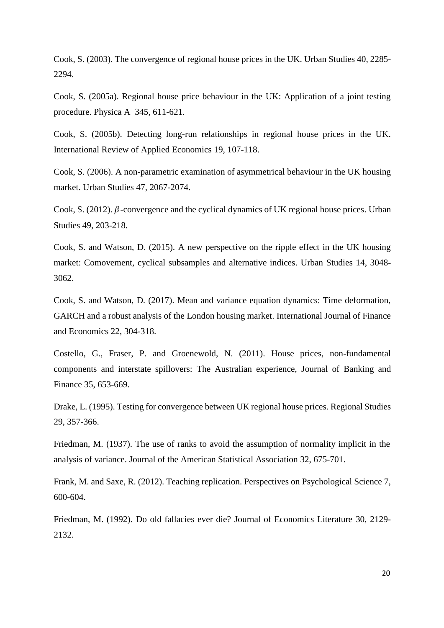Cook, S. (2003). The convergence of regional house prices in the UK. Urban Studies 40, 2285- 2294.

Cook, S. (2005a). Regional house price behaviour in the UK: Application of a joint testing procedure. Physica A 345, 611-621.

Cook, S. (2005b). Detecting long-run relationships in regional house prices in the UK. International Review of Applied Economics 19, 107-118.

Cook, S. (2006). A non-parametric examination of asymmetrical behaviour in the UK housing market. Urban Studies 47, 2067-2074.

Cook, S. (2012).  $\beta$ -convergence and the cyclical dynamics of UK regional house prices. Urban Studies 49, 203-218.

Cook, S. and Watson, D. (2015). A new perspective on the ripple effect in the UK housing market: Comovement, cyclical subsamples and alternative indices. Urban Studies 14, 3048- 3062.

Cook, S. and Watson, D. (2017). Mean and variance equation dynamics: Time deformation, GARCH and a robust analysis of the London housing market. International Journal of Finance and Economics 22, 304-318.

Costello, G., Fraser, P. and Groenewold, N. (2011). House prices, non-fundamental components and interstate spillovers: The Australian experience, Journal of Banking and Finance 35, 653-669.

Drake, L. (1995). Testing for convergence between UK regional house prices. Regional Studies 29, 357-366.

Friedman, M. (1937). The use of ranks to avoid the assumption of normality implicit in the analysis of variance. Journal of the American Statistical Association 32, 675-701.

Frank, M. and Saxe, R. (2012). Teaching replication. Perspectives on Psychological Science 7, 600-604.

Friedman, M. (1992). Do old fallacies ever die? Journal of Economics Literature 30, 2129- 2132.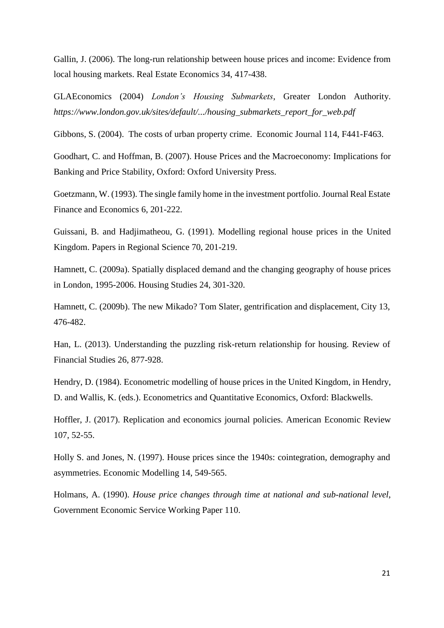Gallin, J. (2006). The long-run relationship between house prices and income: Evidence from local housing markets. Real Estate Economics 34, 417-438.

GLAEconomics (2004) *London's Housing Submarkets*, Greater London Authority. *https://www.london.gov.uk/sites/default/.../housing\_submarkets\_report\_for\_web.pdf*

Gibbons, S. (2004). The costs of urban property crime. Economic Journal 114, F441-F463.

Goodhart, C. and Hoffman, B. (2007). House Prices and the Macroeconomy: Implications for Banking and Price Stability, Oxford: Oxford University Press.

Goetzmann, W. (1993). The single family home in the investment portfolio. Journal Real Estate Finance and Economics 6, 201-222.

Guissani, B. and Hadjimatheou, G. (1991). Modelling regional house prices in the United Kingdom. Papers in Regional Science 70, 201-219.

Hamnett, C. (2009a). Spatially displaced demand and the changing geography of house prices in London, 1995-2006. Housing Studies 24, 301-320.

Hamnett, C. (2009b). The new Mikado? Tom Slater, gentrification and displacement, City 13, 476-482.

Han, L. (2013). Understanding the puzzling risk-return relationship for housing. Review of Financial Studies 26, 877-928.

Hendry, D. (1984). Econometric modelling of house prices in the United Kingdom, in Hendry, D. and Wallis, K. (eds.). Econometrics and Quantitative Economics, Oxford: Blackwells.

Hoffler, J. (2017). Replication and economics journal policies. American Economic Review 107, 52-55.

Holly S. and Jones, N. (1997). House prices since the 1940s: cointegration, demography and asymmetries. Economic Modelling 14, 549-565.

Holmans, A. (1990). *House price changes through time at national and sub-national level*, Government Economic Service Working Paper 110.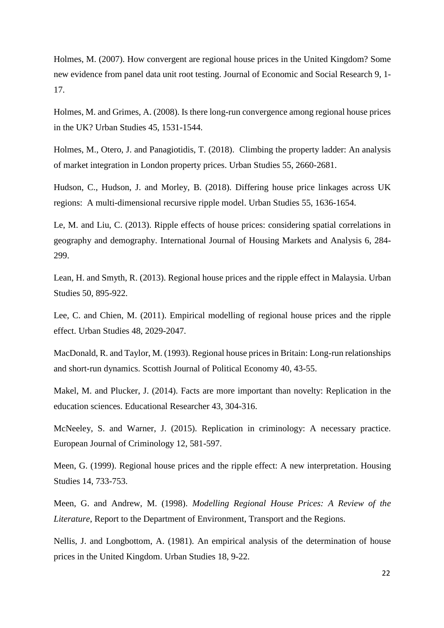Holmes, M. (2007). How convergent are regional house prices in the United Kingdom? Some new evidence from panel data unit root testing. Journal of Economic and Social Research 9, 1- 17.

Holmes, M. and Grimes, A. (2008). Is there long-run convergence among regional house prices in the UK? Urban Studies 45, 1531-1544.

Holmes, M., Otero, J. and Panagiotidis, T. (2018). Climbing the property ladder: An analysis of market integration in London property prices. Urban Studies 55, 2660-2681.

Hudson, C., Hudson, J. and Morley, B. (2018). Differing house price linkages across UK regions: A multi-dimensional recursive ripple model. Urban Studies 55, 1636-1654.

Le, M. and Liu, C. (2013). Ripple effects of house prices: considering spatial correlations in geography and demography. International Journal of Housing Markets and Analysis 6, 284- 299.

Lean, H. and Smyth, R. (2013). Regional house prices and the ripple effect in Malaysia. Urban Studies 50, 895-922.

Lee, C. and Chien, M. (2011). Empirical modelling of regional house prices and the ripple effect. Urban Studies 48, 2029-2047.

MacDonald, R. and Taylor, M. (1993). Regional house prices in Britain: Long-run relationships and short-run dynamics. Scottish Journal of Political Economy 40, 43-55.

Makel, M. and Plucker, J. (2014). Facts are more important than novelty: Replication in the education sciences. Educational Researcher 43, 304-316.

McNeeley, S. and Warner, J. (2015). Replication in criminology: A necessary practice. European Journal of Criminology 12, 581-597.

Meen, G. (1999). Regional house prices and the ripple effect: A new interpretation. Housing Studies 14, 733-753.

Meen, G. and Andrew, M. (1998). *Modelling Regional House Prices: A Review of the Literature*, Report to the Department of Environment, Transport and the Regions.

Nellis, J. and Longbottom, A. (1981). An empirical analysis of the determination of house prices in the United Kingdom. Urban Studies 18, 9-22.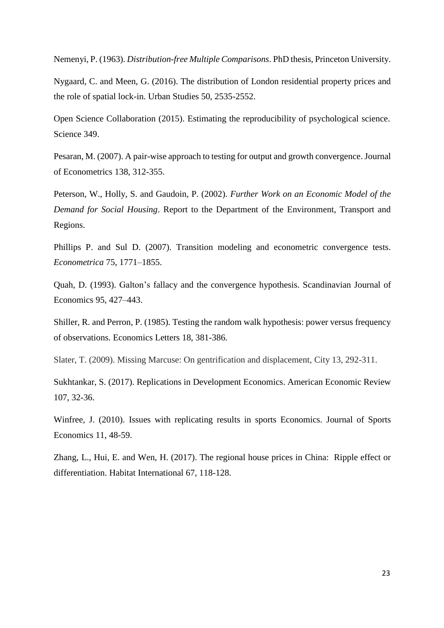Nemenyi, P. (1963). *Distribution-free Multiple Comparisons*. PhD thesis, Princeton University.

Nygaard, C. and Meen, G. (2016). The distribution of London residential property prices and the role of spatial lock-in. Urban Studies 50, 2535-2552.

Open Science Collaboration (2015). Estimating the reproducibility of psychological science. Science 349.

Pesaran, M. (2007). A pair-wise approach to testing for output and growth convergence. Journal of Econometrics 138, 312-355.

Peterson, W., Holly, S. and Gaudoin, P. (2002). *Further Work on an Economic Model of the Demand for Social Housing*. Report to the Department of the Environment, Transport and Regions.

Phillips P. and Sul D. (2007). Transition modeling and econometric convergence tests. *Econometrica* 75, 1771–1855.

Quah, D. (1993). Galton's fallacy and the convergence hypothesis. Scandinavian Journal of Economics 95, 427–443.

Shiller, R. and Perron, P. (1985). Testing the random walk hypothesis: power versus frequency of observations. Economics Letters 18, 381-386.

Slater, T. (2009). Missing Marcuse: On gentrification and displacement, City 13, 292-311.

Sukhtankar, S. (2017). Replications in Development Economics. American Economic Review 107, 32-36.

Winfree, J. (2010). Issues with replicating results in sports Economics. Journal of Sports Economics 11, 48-59.

Zhang, L., Hui, E. and Wen, H. (2017). The regional house prices in China: Ripple effect or differentiation. Habitat International 67, 118-128.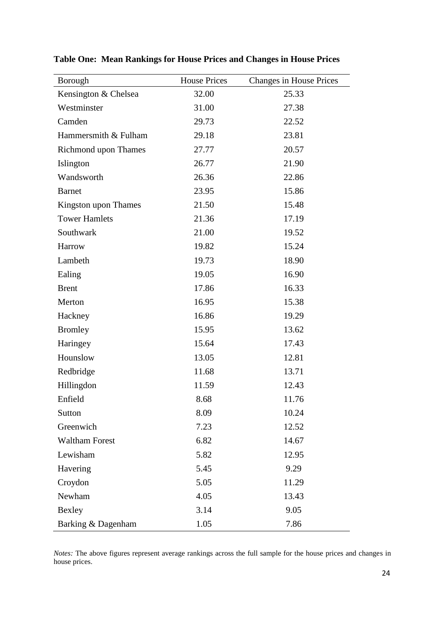| Borough                     | <b>House Prices</b> | <b>Changes in House Prices</b> |
|-----------------------------|---------------------|--------------------------------|
| Kensington & Chelsea        | 32.00               | 25.33                          |
| Westminster                 | 31.00               | 27.38                          |
| Camden                      | 29.73               | 22.52                          |
| Hammersmith & Fulham        | 29.18               | 23.81                          |
| <b>Richmond upon Thames</b> | 27.77               | 20.57                          |
| Islington                   | 26.77               | 21.90                          |
| Wandsworth                  | 26.36               | 22.86                          |
| <b>Barnet</b>               | 23.95               | 15.86                          |
| Kingston upon Thames        | 21.50               | 15.48                          |
| <b>Tower Hamlets</b>        | 21.36               | 17.19                          |
| Southwark                   | 21.00               | 19.52                          |
| Harrow                      | 19.82               | 15.24                          |
| Lambeth                     | 19.73               | 18.90                          |
| Ealing                      | 19.05               | 16.90                          |
| <b>Brent</b>                | 17.86               | 16.33                          |
| Merton                      | 16.95               | 15.38                          |
| Hackney                     | 16.86               | 19.29                          |
| <b>Bromley</b>              | 15.95               | 13.62                          |
| Haringey                    | 15.64               | 17.43                          |
| Hounslow                    | 13.05               | 12.81                          |
| Redbridge                   | 11.68               | 13.71                          |
| Hillingdon                  | 11.59               | 12.43                          |
| Enfield                     | 8.68                | 11.76                          |
| Sutton                      | 8.09                | 10.24                          |
| Greenwich                   | 7.23                | 12.52                          |
| <b>Waltham Forest</b>       | 6.82                | 14.67                          |
| Lewisham                    | 5.82                | 12.95                          |
| Havering                    | 5.45                | 9.29                           |
| Croydon                     | 5.05                | 11.29                          |
| Newham                      | 4.05                | 13.43                          |
| Bexley                      | 3.14                | 9.05                           |
| Barking & Dagenham          | 1.05                | 7.86                           |

**Table One: Mean Rankings for House Prices and Changes in House Prices**

*Notes:* The above figures represent average rankings across the full sample for the house prices and changes in house prices.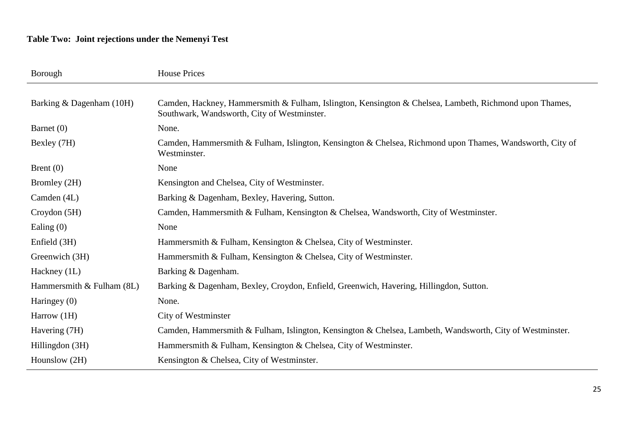# **Table Two: Joint rejections under the Nemenyi Test**

| Borough                     | <b>House Prices</b>                                                                                                                                   |
|-----------------------------|-------------------------------------------------------------------------------------------------------------------------------------------------------|
|                             |                                                                                                                                                       |
| Barking & Dagenham (10H)    | Camden, Hackney, Hammersmith & Fulham, Islington, Kensington & Chelsea, Lambeth, Richmond upon Thames,<br>Southwark, Wandsworth, City of Westminster. |
| Barnet $(0)$                | None.                                                                                                                                                 |
| Bexley (7H)                 | Camden, Hammersmith & Fulham, Islington, Kensington & Chelsea, Richmond upon Thames, Wandsworth, City of<br>Westminster.                              |
| Brent $(0)$                 | None                                                                                                                                                  |
| Bromley (2H)                | Kensington and Chelsea, City of Westminster.                                                                                                          |
| Camden (4L)                 | Barking & Dagenham, Bexley, Havering, Sutton.                                                                                                         |
| Croydon(5H)                 | Camden, Hammersmith & Fulham, Kensington & Chelsea, Wandsworth, City of Westminster.                                                                  |
| Ealing $(0)$                | None                                                                                                                                                  |
| Enfield (3H)                | Hammersmith & Fulham, Kensington & Chelsea, City of Westminster.                                                                                      |
| Greenwich (3H)              | Hammersmith & Fulham, Kensington & Chelsea, City of Westminster.                                                                                      |
| Hackney (1L)                | Barking & Dagenham.                                                                                                                                   |
| Hammersmith $&$ Fulham (8L) | Barking & Dagenham, Bexley, Croydon, Enfield, Greenwich, Havering, Hillingdon, Sutton.                                                                |
| Haringey (0)                | None.                                                                                                                                                 |
| Harrow (1H)                 | City of Westminster                                                                                                                                   |
| Havering (7H)               | Camden, Hammersmith & Fulham, Islington, Kensington & Chelsea, Lambeth, Wandsworth, City of Westminster.                                              |
| Hillingdon (3H)             | Hammersmith & Fulham, Kensington & Chelsea, City of Westminster.                                                                                      |
| Hounslow (2H)               | Kensington & Chelsea, City of Westminster.                                                                                                            |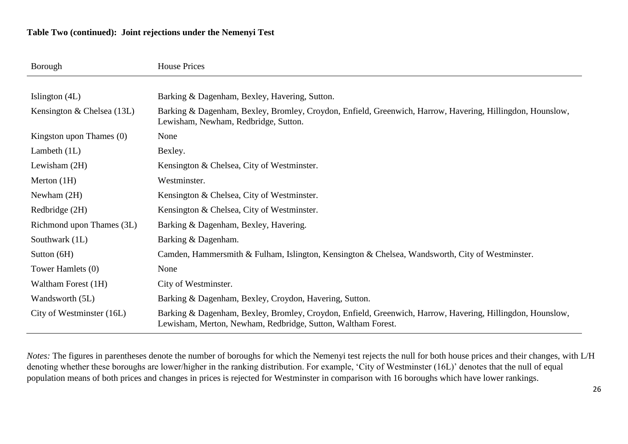# **Table Two (continued): Joint rejections under the Nemenyi Test**

| Borough                      | <b>House Prices</b>                                                                                                                                                       |
|------------------------------|---------------------------------------------------------------------------------------------------------------------------------------------------------------------------|
|                              |                                                                                                                                                                           |
| Islington (4L)               | Barking & Dagenham, Bexley, Havering, Sutton.                                                                                                                             |
| Kensington & Chelsea $(13L)$ | Barking & Dagenham, Bexley, Bromley, Croydon, Enfield, Greenwich, Harrow, Havering, Hillingdon, Hounslow,<br>Lewisham, Newham, Redbridge, Sutton.                         |
| Kingston upon Thames $(0)$   | None                                                                                                                                                                      |
| Lambeth $(1L)$               | Bexley.                                                                                                                                                                   |
| Lewisham $(2H)$              | Kensington & Chelsea, City of Westminster.                                                                                                                                |
| Merton $(1H)$                | Westminster.                                                                                                                                                              |
| Newham $(2H)$                | Kensington & Chelsea, City of Westminster.                                                                                                                                |
| Redbridge (2H)               | Kensington & Chelsea, City of Westminster.                                                                                                                                |
| Richmond upon Thames (3L)    | Barking & Dagenham, Bexley, Havering.                                                                                                                                     |
| Southwark (1L)               | Barking & Dagenham.                                                                                                                                                       |
| Sutton $(6H)$                | Camden, Hammersmith & Fulham, Islington, Kensington & Chelsea, Wandsworth, City of Westminster.                                                                           |
| Tower Hamlets (0)            | None                                                                                                                                                                      |
| Waltham Forest (1H)          | City of Westminster.                                                                                                                                                      |
| Wandsworth (5L)              | Barking & Dagenham, Bexley, Croydon, Havering, Sutton.                                                                                                                    |
| City of Westminster (16L)    | Barking & Dagenham, Bexley, Bromley, Croydon, Enfield, Greenwich, Harrow, Havering, Hillingdon, Hounslow,<br>Lewisham, Merton, Newham, Redbridge, Sutton, Waltham Forest. |

*Notes:* The figures in parentheses denote the number of boroughs for which the Nemenyi test rejects the null for both house prices and their changes, with L/H denoting whether these boroughs are lower/higher in the ranking distribution. For example, 'City of Westminster (16L)' denotes that the null of equal population means of both prices and changes in prices is rejected for Westminster in comparison with 16 boroughs which have lower rankings.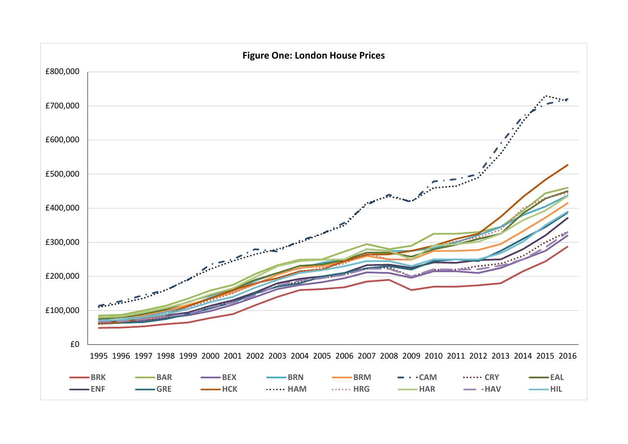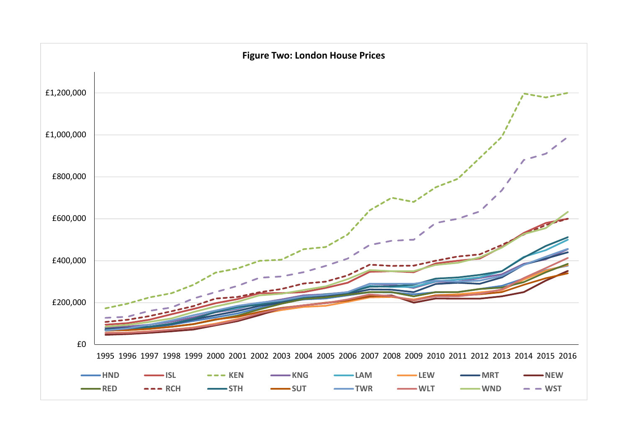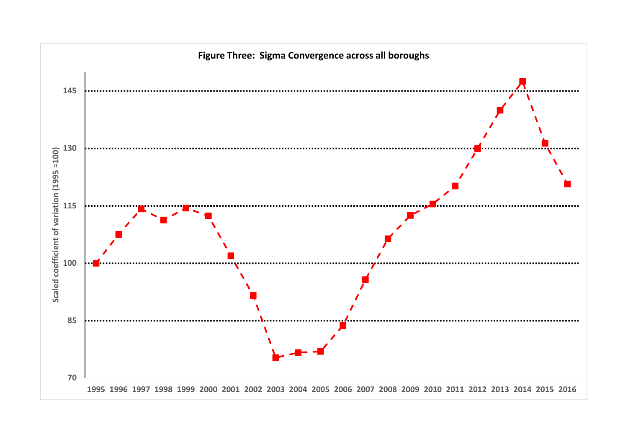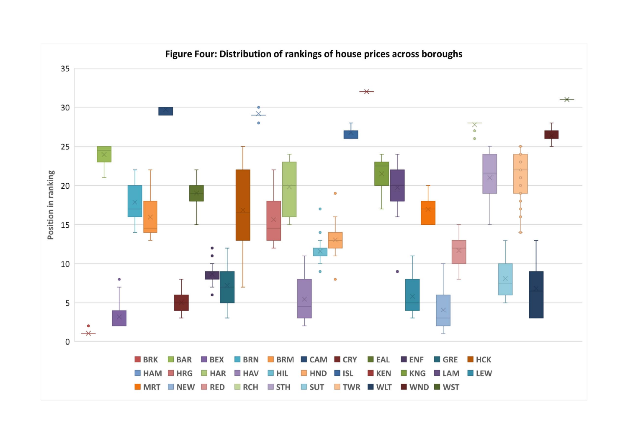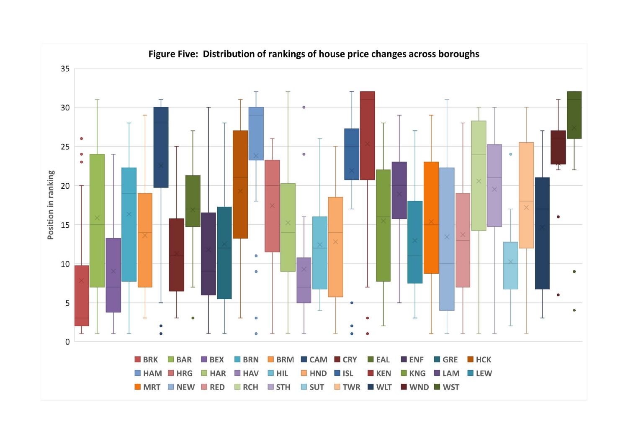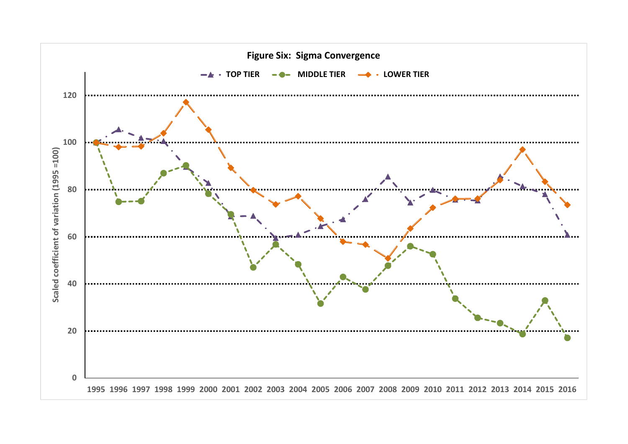